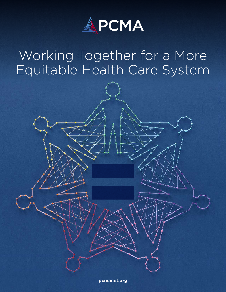

# Working Together for a More Equitable Health Care System



 $rac{1}{\sqrt{2}}$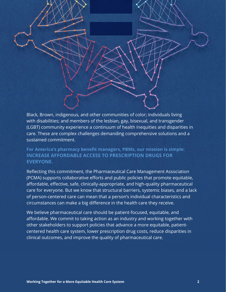Black, Brown, indigenous, and other communities of color; individuals living with disabilities; and members of the lesbian, gay, bisexual, and transgender (LGBT) community experience a continuum of health inequities and disparities in care. These are complex challenges demanding comprehensive solutions and a sustained commitment.

=

**For America's pharmacy benefit managers, PBMs, our mission is simple: INCREASE AFFORDABLE ACCESS TO PRESCRIPTION DRUGS FOR EVERYONE.**

Reflecting this commitment, the Pharmaceutical Care Management Association (PCMA) supports collaborative efforts and public policies that promote equitable, affordable, effective, safe, clinically-appropriate, and high-quality pharmaceutical care for everyone. But we know that structural barriers, systemic biases, and a lack of person-centered care can mean that a person's individual characteristics and circumstances can make a big difference in the health care they receive.

We believe pharmaceutical care should be patient-focused, equitable, and affordable. We commit to taking action as an industry and working together with other stakeholders to support policies that advance a more equitable, patientcentered health care system, lower prescription drug costs, reduce disparities in clinical outcomes, and improve the quality of pharmaceutical care.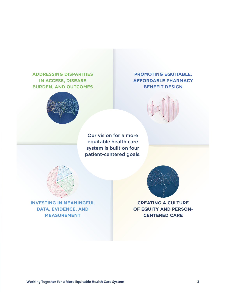# **ADDRESSING DISPARITIES IN ACCESS, DISEASE BURDEN, AND OUTCOMES**



# **PROMOTING EQUITABLE, AFFORDABLE PHARMACY BENEFIT DESIGN**



Our vision for a more equitable health care system is built on four patient-centered goals.



**INVESTING IN MEANINGFUL DATA, EVIDENCE, AND MEASUREMENT**



**CREATING A CULTURE OF EQUITY AND PERSON-CENTERED CARE**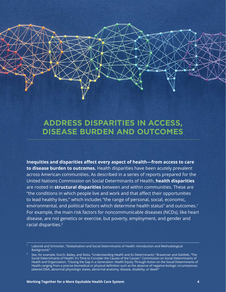# **ADDRESS DISPARITIES IN ACCESS, DISEASE BURDEN AND OUTCOMES**

**Inequities and disparities affect every aspect of health—from access to care to disease burden to outcomes.** Health disparities have been acutely prevalent across American communities. As described in a series of reports prepared for the United Nations Commission on Social Determinants of Health, **health disparities** are rooted in **structural disparities** between and within communities. These are "the conditions in which people live and work and that affect their opportunities to lead healthy lives," which includes "the range of personal, social, economic, environmental, and political factors which determine health status" and outcomes.<sup>1</sup> For example, the main risk factors for noncommunicable diseases (NCDs), like heart disease, are not genetics or exercise, but poverty, employment, and gender and racial disparities.2

<sup>1</sup> Labonté and Schrecker, "Globalization and Social Determinants of Health: Introduction and Methodological Background."

<sup>2</sup> See, for example, Durch, Bailey, and Stoto, "Understanding Health and Its Determinants." Braveman and Gottlieb, "The Social Determinants of Health: It's Time to Consider the Causes of the Causes." Commission on Social Determinants of Health and Organization. "Closing the Gap in a Generation: Health Equity Through Action on the Social Determinants of Health.ranging from a precise biomedical or physical definition such as the absence of negative biologic circumstances (altered DNA, abnormal physiologic states, abnormal anatomy, disease, disability, or death"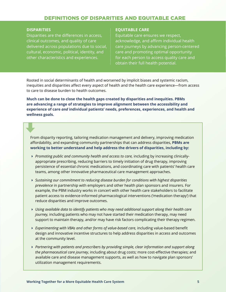### DEFINITIONS OF DISPARITIES AND EQUITABLE CARE

#### **DISPARITIES**

Disparities are the differences in access, clinical outcomes, and quality of care delivered across populations due to social, cultural, economic, political, identity, and other characteristics and experiences.

#### **EQUITABLE CARE**

Equitable care ensures we respect, acknowledge, and affirm individual health care journeys by advancing person-centered care and promoting optimal opportunity for each person to access quality care and obtain their full health potential.

Rooted in social determinants of health and worsened by implicit biases and systemic racism, inequities and disparities affect every aspect of health and the health care experience—from access to care to disease burden to health outcomes.

**Much can be done to close the health gaps created by disparities and inequities. PBMs are advancing a range of strategies to improve alignment between the accessibility and experience of care** *and* **individual patients' needs, preferences, experiences, and health and wellness goals.**

From disparity reporting, tailoring medication management and delivery, improving medication affordability, and expanding community partnerships that can address disparities, **PBMs are working to better understand and help address the drivers of disparities, including by:**

- *Promoting public and community health and access to care,* including by increasing clinicallyappropriate prescribing, reducing barriers to timely initiation of drug therapy, improving persistence of essential chronic medications, and coordinating care with patients' health care teams, among other innovative pharmaceutical care management approaches.
- *Sustaining our commitment to reducing disease burden for conditions with highest disparities prevalence* in partnership with employers and other health plan sponsors and insurers. For example, the PBM industry works in concert with other health care stakeholders to facilitate patient access to evidence-informed pharmacological interventions ('medication therapy') that reduce disparities and improve outcomes.
- *Using available data to identify patients who may need additional support along their health care journey,* including patients who may not have started their medication therapy, may need support to maintain therapy, and/or may have risk factors complicating their therapy regimen.
- *Experimenting with VBAs and other forms of value-based care,* including value-based benefit design and innovative incentive structures to help address disparities in access and outcomes at the community level.
- *Partnering with patients and prescribers by providing simple, clear information and support along the pharmaceutical care journey*, including about drug costs; more cost-effective therapies; and available care and disease management supports, as well as how to navigate plan sponsors' utilization management requirements.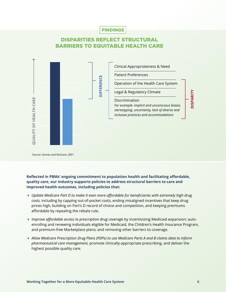## FINDINGS

# DISPARITIES REFLECT STRUCTURAL BARRIERS TO EQUITABLE HEALTH CARE



#### **Reflected in PBMs' ongoing commitment to population health and facilitating affordable, quality care, our industry supports policies to address structural barriers to care and improved health outcomes, including policies that:**

- Update Medicare Part D to make it even more affordable for beneficiaries with extremely high drug *costs,* including by capping out-of-pocket costs, ending misaligned incentives that keep drug prices high, building on Part's D record of choice and competition, and keeping premiums affordable by repealing the rebate rule.
- *Improve affordable access to prescription drug coverag*e by incentivizing Medicaid expansion; autoenrolling and renewing individuals eligible for Medicaid, the Children's Health Insurance Program, and premium-free Marketplace plans; and removing other barriers to coverage.
- *Allow Medicare Prescription Drug Plans (PDPs) to use Medicare Parts A and B claims data to inform pharmaceutical care management,* promote clinically-appropriate prescribing, and deliver the highest possible quality care.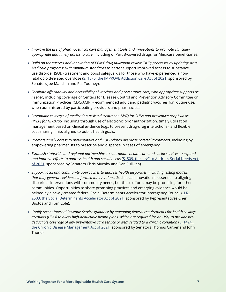- *Improve the use of pharmaceutical care management tools and innovations to promote clinicallyappropriate and timely access to care,* including of Part B-covered drugs for Medicare beneficiaries.
- *Build on the success and innovation of PBMs' drug utilization review (DUR) processes by updating state Medicaid programs' DUR minimum standards* to better support improved access to substance use disorder (SUD) treatment and boost safeguards for those who have experienced a non-fatal opioid-related overdose ([S. 1575, the IMPROVE Addiction Care Act of 2021](https://www.congress.gov/bill/117th-congress/senate-bill/1575/), sponsored by Senators Joe Manchin and Pat Toomey).
- *Facilitate affordability and accessibility of vaccines and preventative care, with appropriate supports as needed,* including coverage of Centers for Disease Control and Prevention Advisory Committee on Immunization Practices (CDC/ACIP) -recommended adult and pediatric vaccines for routine use, when administered by participating providers and pharmacists.
- *Streamline coverage of medication assisted treatment (MAT) for SUDs and preventive prophylaxis (PrEP) for HIV/AIDS,* including through use of electronic prior authorization, timely utilization management based on clinical evidence (e.g., to prevent drug-drug interactions), and flexible cost-sharing limits aligned to public health goals.
- *Promote timely access to preventatives and SUD-related overdose reversal treatments,* including by empowering pharmacists to prescribe and dispense in cases of emergency.
- *Establish statewide and regional partnerships to coordinate health care and social services to expand and improve efforts to address health and social needs* ([S. 509, the LINC to Address Social Needs Act](https://www.congress.gov/bill/117th-congress/senate-bill/509/)  [of 2021](https://www.congress.gov/bill/117th-congress/senate-bill/509/), sponsored by Senators Chris Murphy and Dan Sullivan).
- *Support local and community approaches to address health disparities, including testing models that may generate evidence-informed interventions.* Such local innovation is essential to aligning disparities interventions with community needs, but these efforts may be promising for other communities. Opportunities to share promising practices and emerging evidence would be helped by a newly created federal Social Determinants Accelerator Interagency Council ([H.R.](https://www.congress.gov/bill/117th-congress/house-bill/2503)  [2503, the Social Determinants Accelerator Act of 2021](https://www.congress.gov/bill/117th-congress/house-bill/2503), sponsored by Representatives Cheri Bustos and Tom Cole).
- *Codify recent Internal Revenue Service guidance by amending federal requirements for health savings accounts (HSAs) to allow high-deductible health plans, which are required for an HSA, to provide predeductible coverage of any preventative care service or item related to a chronic condition* ([S. 1424,](https://www.congress.gov/bill/117th-congress/senate-bill/1424)  [the Chronic Disease Management Act of 2021](https://www.congress.gov/bill/117th-congress/senate-bill/1424), sponsored by Senators Thomas Carper and John Thune).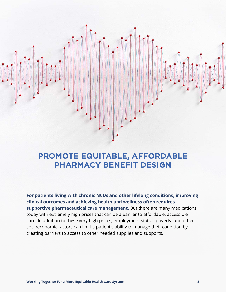# **PROMOTE EQUITABLE, AFFORDABLE PHARMACY BENEFIT DESIGN**

**For patients living with chronic NCDs and other lifelong conditions, improving clinical outcomes and achieving health and wellness often requires supportive pharmaceutical care management.** But there are many medications today with extremely high prices that can be a barrier to affordable, accessible care. In addition to these very high prices, employment status, poverty, and other socioeconomic factors can limit a patient's ability to manage their condition by creating barriers to access to other needed supplies and supports.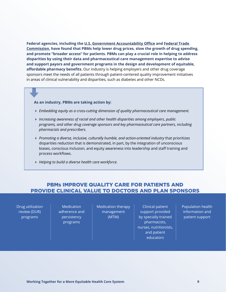**Federal agencies, including the [U.S. Government Accountability Office](https://www.gao.gov/products/gao-09-819t) and [Federal Trade](https://www.ftc.gov/sites/default/files/documents/reports/improving-health-care-dose-competition-report-federal-trade-commission-and-department-justice/healthcarerptexecsum.pdf)  [Commission](https://www.ftc.gov/sites/default/files/documents/reports/improving-health-care-dose-competition-report-federal-trade-commission-and-department-justice/healthcarerptexecsum.pdf), have found that PBMs help lower drug prices, slow the growth of drug spending, and promote "broader access" for patients. PBMs can play a crucial role in helping to address disparities by using their data and pharmaceutical care management expertise to advise and support payors and government programs in the design and development of equitable, affordable pharmacy benefits.** Our industry is helping employers and other drug coverage sponsors meet the needs of all patients through patient-centered quality improvement initiatives in areas of clinical vulnerability and disparities, such as diabetes and other NCDs.

#### **As an industry, PBMs are taking action by:**

- *Embedding equity as a cross-cutting dimension of quality pharmaceutical care management.*
- *Increasing awareness of racial and other health disparities among employers, public programs, and other drug coverage sponsors and key pharmaceutical care partners, including pharmacists and prescribers.*
- *Promoting a diverse, inclusive, culturally humble, and action-oriented industry* that prioritizes disparities reduction that is demonstrated, in part, by the integration of unconscious biases, conscious inclusion, and equity awareness into leadership and staff training and process workflows.
- *Helping to build a diverse health care workforce.*

### PBMs IMPROVE QUALITY CARE FOR PATIENTS AND PROVIDE CLINICAL VALUE TO DOCTORS AND PLAN SPONSORS

Drug utilization review (DUR) programs

**Medication** adherence and persistency programs

Medication therapy management (MTM)

Clinical patient support provided by specially trained pharmacists, nurses, nutritionists, and patient educators

Population health information and patient support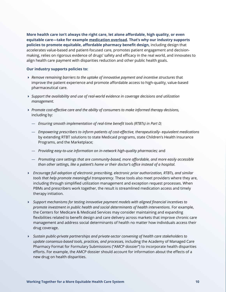**More health care isn't always the right care, let alone affordable, high quality, or even equitable care—take for example [medication overload](https://lowninstitute.org/wp-content/uploads/2019/08/medication-overload-lown-web.pdf). That's why our industry supports policies to promote equitable, affordable pharmacy benefit design,** including design that accelerates value-based and patient-focused care, promotes patient engagement and decisionmaking, relies on rigorous evidence of drugs' safety and efficacy in the real world, and innovates to align health care payment with disparities reduction and other public health goals.

#### **Our industry supports policies to:**

- *Remove remaining barriers to the uptake of innovative payment and incentive structures* that improve the patient experience and promote affordable access to high-quality, value-based pharmaceutical care.
- *Support the availability and use of real-world evidence in coverage decisions and utilization management.*
- *Promote cost-effective care and the ability of consumers to make informed therapy decisions,*  including by:
	- *Ensuring smooth implementation of real-time benefit tools (RTBTs) in Part D;*
	- *Empowering prescribers to inform patients of cost-effective, therapeutically- equivalent medications* by extending RTBT solutions to state Medicaid programs, state Children's Health Insurance Programs, and the Marketplace;
	- *Providing easy-to-use information on in-network high-quality pharmacies;* and
	- *Promoting care settings that are community-based, more affordable, and more easily accessible than other settings, like a patient's home or their doctor's office instead of a hospital.*
- *Encourage full adoption of electronic prescribing, electronic prior authorization, RTBTs, and similar tools that help promote meaningful transparency.* These tools also meet providers where they are, including through simplified utilization management and exception request processes. When PBMs and prescribers work together, the result is streamlined medication access and timely therapy initiation.
- *Support mechanisms for testing innovative payment models with aligned financial incentives to promote investment in public health and social determinants of health interventions.* For example, the Centers for Medicare & Medicaid Services may consider maintaining and expanding flexibilities related to benefit design and care delivery across markets that improve chronic care management and address social determinants of health no matter how individuals access their drug coverage.
- *Sustain public-private partnerships and private-sector convening of health care stakeholders to update consensus-based tools, practices, and processes,* including the Academy of Managed Care Pharmacy Format for Formulary Submissions ("AMCP dossier") to incorporate health disparities efforts. For example, the AMCP dossier should account for information about the effects of a new drug on health disparities.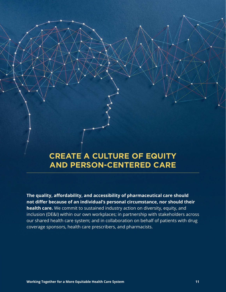# **CREATE A CULTURE OF EQUITY AND PERSON-CENTERED CARE**

**The quality, affordability, and accessibility of pharmaceutical care should not differ because of an individual's personal circumstance, nor should their health care.** We commit to sustained industry action on diversity, equity, and inclusion (DE&I) within our own workplaces; in partnership with stakeholders across our shared health care system; and in collaboration on behalf of patients with drug coverage sponsors, health care prescribers, and pharmacists.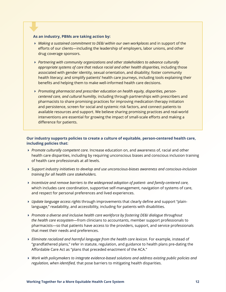#### **As an industry, PBMs are taking action by:**

- *Making a sustained commitment to DE&I within our own workplaces* and in support of the efforts of our clients—including the leadership of employers, labor unions, and other drug coverage sponsors.
- *Partnering with community organizations and other stakeholders to advance culturally appropriate systems of care that reduce racial and other health disparities,* including those associated with gender identity, sexual orientation, and disability; foster community health literacy; and simplify patients' health care journeys, including tools explaining their benefits and helping them to make well-informed health care decisions.
- *Promoting pharmacist and prescriber education on health equity, disparities, personcentered care, and cultural humility,* including through partnerships with prescribers and pharmacists to share promising practices for improving medication therapy initiation and persistence, screen for social and systemic risk factors, and connect patients to available resources and support. We believe sharing promising practices and real-world interventions are essential for growing the impact of small-scale efforts and making a difference for patients.

#### **Our industry supports policies to create a culture of equitable, person-centered health care, including policies that:**

- *Promote culturally competent care.* Increase education on, and awareness of, racial and other health care disparities, including by requiring unconscious biases and conscious inclusion training of health care professionals at all levels.
- *Support industry initiatives to develop and use unconscious-biases awareness and conscious-inclusion training for all health care stakeholders.*
- *Incentivize and remove barriers to the widespread adoption of patient- and family-centered care,* which includes care coordination, supportive self-management, navigation of systems of care, and respect for personal preferences and lived experiences.
- *Update language access rights* through improvements that clearly define and support "plainlanguage," readability, and accessibility, including for patients with disabilities.
- **Promote a diverse and inclusive health care workforce by fostering DE&I dialogue throughout** *the health care ecosystem*—from clinicians to accountants, member support professionals to pharmacists—so that patients have access to the providers, support, and service professionals that meet their needs and preferences.
- *Eliminate racialized and harmful language from the health care lexicon.* For example, instead of "grandfathered plans," refer in statute, regulation, and guidance to health plans pre-dating the Affordable Care Act as "plans that preceded enactment of the ACA."
- *Work with policymakers to integrate evidence-based solutions and address existing public policies and regulation, when identified,* that pose barriers to mitigating health disparities.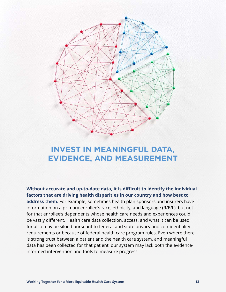

# **INVEST IN MEANINGFUL DATA, EVIDENCE, AND MEASUREMENT**

**Without accurate and up-to-date data, it is difficult to identify the individual factors that are driving health disparities in our country and how best to address them.** For example, sometimes health plan sponsors and insurers have information on a primary enrollee's race, ethnicity, and language (R/E/L), but not for that enrollee's dependents whose health care needs and experiences could be vastly different. Health care data collection, access, and what it can be used for also may be siloed pursuant to federal and state privacy and confidentiality requirements or because of federal health care program rules. Even where there is strong trust between a patient and the health care system, and meaningful data has been collected for that patient, our system may lack both the evidenceinformed intervention and tools to measure progress.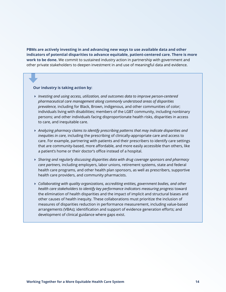**PBMs are actively investing in and advancing new ways to use available data and other indicators of potential disparities to advance equitable, patient-centered care. There is more work to be done.** We commit to sustained industry action in partnership with government and other private stakeholders to deepen investment in and use of meaningful data and evidence.

#### **Our industry is taking action by:**

- *Investing and using access, utilization, and outcomes data to improve person-centered pharmaceutical care management along commonly understood areas of disparities prevalence,* including for Black, Brown, indigenous, and other communities of color; individuals living with disabilities; members of the LGBT community, including nonbinary persons; and other individuals facing disproportionate health risks, disparities in access to care, and inequitable care.
- *Analyzing pharmacy claims to identify prescribing patterns that may indicate disparities and inequities in care,* including the prescribing of clinically-appropriate care and access to care. For example, partnering with patients and their prescribers to identify care settings that are community-based, more affordable, and more easily accessible than others, like a patient's home or their doctor's office instead of a hospital.
- *Sharing and regularly discussing disparities data with drug coverage sponsors and pharmacy care partners,* including employers, labor unions, retirement systems, state and federal health care programs, and other health plan sponsors, as well as prescribers, supportive health care providers, and community pharmacists.
- *Collaborating with quality organizations, accrediting entities, government bodies, and other health care stakeholders to identify key performance indicators measuring progress* toward the elimination of health disparities and the impact of implicit and structural biases and other causes of health inequity. These collaborations must prioritize the inclusion of measures of disparities reduction in performance measurement, including value-based arrangements (VBAs); identification and support of evidence generation efforts; and development of clinical guidance where gaps exist.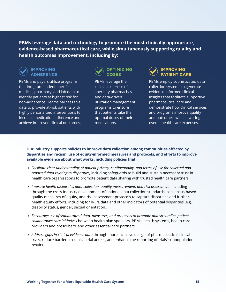**PBMs leverage data and technology to promote the most clinically appropriate, evidence-based pharmaceutical care, while simultaneously supporting quality and health outcomes improvement, including by:**



#### **IMPROVING ADHERENCE**

PBMs and payers utilize programs that integrate patient-specific medical, pharmacy, and lab data to identify patients at highest risk for non-adherence. Teams harness this data to provide at-risk patients with highly personalized interventions to increase medication adherence and achieve improved clinical outcomes.

### **OPTIMIZING DOSES**

PBMs leverage the clinical expertise of specialty pharmacists and data-driven utilization management programs to ensure that patients take the optimal doses of their medications.

### **IMPROVING PATIENT CARE**

PBMs employ sophisticated data collection systems to generate evidence-informed clinical insights that facilitate supportive pharmaceutical care and demonstrate how clinical services and programs improve quality and outcomes, while lowering overall health care expenses.

**Our industry supports policies to improve data collection among communities affected by disparities and racism, use of equity-informed measures and protocols, and efforts to improve available evidence about what works, including policies that:**

- *Facilitate clear understanding of patient privacy, confidentiality, and terms of use for collected and reported data relating to disparities,* including safeguards to build and sustain necessary trust in health care organizations to promote patient data sharing with trusted health care partners.
- *Improve health disparities data collection, quality measurement, and risk assessment, including* through the cross-industry development of national data collection standards, consensus-based quality measures of equity, and risk assessment protocols to capture disparities and further health equity efforts, including for R/E/L data and other indicators of potential disparities (e.g., disability status, gender, sexual orientation).
- *Encourage use of standardized data, measures, and protocols to promote and streamline patient collaborative care initiatives* between health plan sponsors, PBMs, health systems, health care providers and prescribers, and other essential care partners.
- *Address gaps in clinical evidence data* through more inclusive design of pharmaceutical clinical trials, reduce barriers to clinical trial access, and enhance the reporting of trials' subpopulation results.